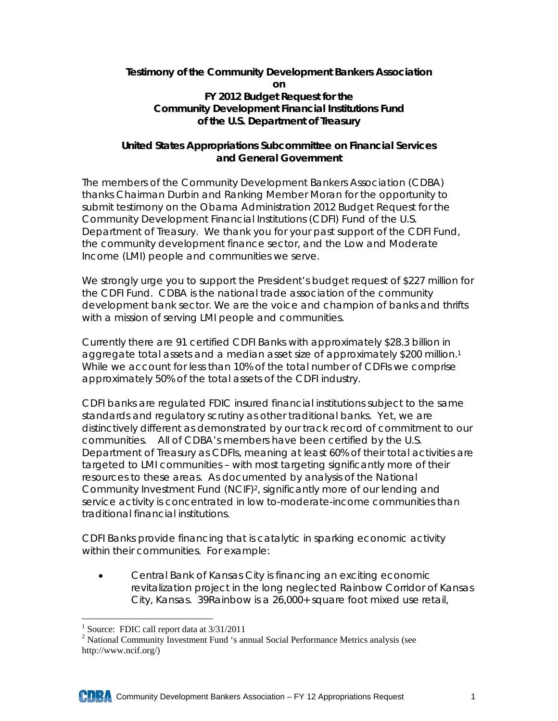## **Testimony of the Community Development Bankers Association on FY 2012 Budget Request for the Community Development Financial Institutions Fund of the U.S. Department of Treasury**

## **United States Appropriations Subcommittee on Financial Services and General Government**

The members of the Community Development Bankers Association (CDBA) thanks Chairman Durbin and Ranking Member Moran for the opportunity to submit testimony on the Obama Administration 2012 Budget Request for the Community Development Financial Institutions (CDFI) Fund of the U.S. Department of Treasury. We thank you for your past support of the CDFI Fund, the community development finance sector, and the Low and Moderate Income (LMI) people and communities we serve.

We strongly urge you to support the President's budget request of \$227 million for the CDFI Fund. CDBA is the national trade association of the community development bank sector. We are the voice and champion of banks and thrifts with a mission of serving LMI people and communities.

Currently there are 91 certified CDFI Banks with approximately \$28.3 billion in aggregate total assets and a median asset size of approximately \$200 million.1 While we account for less than 10% of the total number of CDFIs we comprise approximately 50% of the total assets of the CDFI industry.

CDFI banks are regulated FDIC insured financial institutions subject to the same standards and regulatory scrutiny as other traditional banks. Yet, we are distinctively different as demonstrated by our track record of commitment to our communities. All of CDBA's members have been certified by the U.S. Department of Treasury as CDFIs, meaning at least 60% of their total activities are targeted to LMI communities – with most targeting significantly more of their resources to these areas. As documented by analysis of the National Community Investment Fund (NCIF)2, significantly more of our lending and service activity is concentrated in low to-moderate-income communities than traditional financial institutions.

CDFI Banks provide financing that is catalytic in sparking economic activity within their communities. For example:

 Central Bank of Kansas City is financing an exciting economic revitalization project in the long neglected Rainbow Corridor of Kansas City, Kansas. 39Rainbow is a 26,000+ square foot mixed use retail,

 $\overline{a}$ <sup>1</sup> Source: FDIC call report data at 3/31/2011

<sup>&</sup>lt;sup>2</sup> National Community Investment Fund 's annual Social Performance Metrics analysis (see http://www.ncif.org/)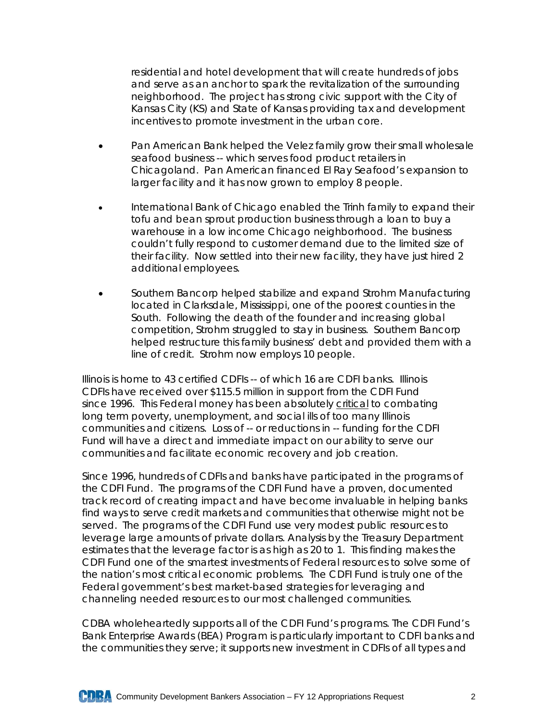residential and hotel development that will create hundreds of jobs and serve as an anchor to spark the revitalization of the surrounding neighborhood. The project has strong civic support with the City of Kansas City (KS) and State of Kansas providing tax and development incentives to promote investment in the urban core.

- Pan American Bank helped the Velez family grow their small wholesale seafood business -- which serves food product retailers in Chicagoland. Pan American financed El Ray Seafood's expansion to larger facility and it has now grown to employ 8 people.
- International Bank of Chicago enabled the Trinh family to expand their tofu and bean sprout production business through a loan to buy a warehouse in a low income Chicago neighborhood. The business couldn't fully respond to customer demand due to the limited size of their facility. Now settled into their new facility, they have just hired 2 additional employees.
- Southern Bancorp helped stabilize and expand Strohm Manufacturing located in Clarksdale, Mississippi, one of the poorest counties in the South. Following the death of the founder and increasing global competition, Strohm struggled to stay in business. Southern Bancorp helped restructure this family business' debt and provided them with a line of credit. Strohm now employs 10 people.

Illinois is home to 43 certified CDFIs -- of which 16 are CDFI banks. Illinois CDFIs have received over \$115.5 million in support from the CDFI Fund since 1996. This Federal money has been absolutely critical to combating long term poverty, unemployment, and social ills of too many Illinois communities and citizens. Loss of -- or reductions in -- funding for the CDFI Fund will have a direct and immediate impact on our ability to serve our communities and facilitate economic recovery and job creation.

Since 1996, hundreds of CDFIs and banks have participated in the programs of the CDFI Fund. The programs of the CDFI Fund have a proven, documented track record of creating impact and have become invaluable in helping banks find ways to serve credit markets and communities that otherwise might not be served. The programs of the CDFI Fund use very modest public resources to leverage large amounts of private dollars. Analysis by the Treasury Department estimates that the leverage factor is as high as 20 to 1. This finding makes the CDFI Fund one of the smartest investments of Federal resources to solve some of the nation's most critical economic problems. The CDFI Fund is truly one of the Federal government's best market-based strategies for leveraging and channeling needed resources to our most challenged communities.

CDBA wholeheartedly supports all of the CDFI Fund's programs. The CDFI Fund's Bank Enterprise Awards (BEA) Program is particularly important to CDFI banks and the communities they serve; it supports new investment in CDFIs of all types and